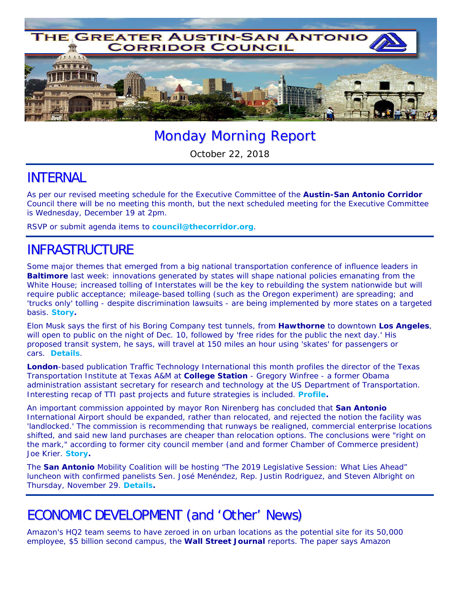

# Monday Morning Report

October 22, 2018

### INTERNAL

As per our revised meeting schedule for the Executive Committee of the **Austin-San Antonio Corridor** Council there will be no meeting this month, but the next scheduled meeting for the Executive Committee is Wednesday, December 19 at 2pm.

RSVP or submit agenda items to **council@thecorridor.org**.

## INFRASTRUCTURE

Some major themes that emerged from a big national transportation conference of influence leaders in **Baltimore** last week: innovations generated by states will shape national policies emanating from the White House; increased tolling of Interstates will be the key to rebuilding the system nationwide but will require public acceptance; mileage-based tolling (such as the Oregon experiment) are spreading; and 'trucks only' tolling - despite discrimination lawsuits - are being implemented by more states on a targeted basis. *Story.*

Elon Musk says the first of his Boring Company test tunnels, from **Hawthorne** to downtown **Los Angeles**, will open to public on the night of Dec. 10, followed by 'free rides for the public the next day.' His proposed transit system, he says, will travel at 150 miles an hour using 'skates' for passengers or cars. *Details*.

**London**-based publication *Traffic Technology International* this month profiles the director of the Texas Transportation Institute at Texas A&M at **College Station** - Gregory Winfree - a former Obama administration assistant secretary for research and technology at the US Department of Transportation. Interesting recap of TTI past projects and future strategies is included. *Profile.* 

An important commission appointed by mayor Ron Nirenberg has concluded that **San Antonio** International Airport should be expanded, rather than relocated, and rejected the notion the facility was 'landlocked.' The commission is recommending that runways be realigned, commercial enterprise locations shifted, and said new land purchases are cheaper than relocation options. The conclusions were "right on the mark," according to former city council member (and and former Chamber of Commerce president) Joe Krier. *Story.*

The **San Antonio** Mobility Coalition will be hosting *"The 2019 Legislative Session: What Lies Ahead"* luncheon with confirmed panelists Sen. José Menéndez, Rep. Justin Rodriguez, and Steven Albright on Thursday, November 29. *Details.*

## ECONOMIC DEVELOPMENT (and 'Other' News)

Amazon's HQ2 team seems to have zeroed in on urban locations as the potential site for its 50,000 employee, \$5 billion second campus, the *Wall Street Journal* reports. The paper says Amazon